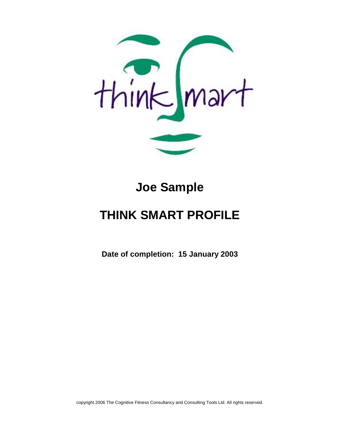

# **Joe Sample**

# **THINK SMART PROFILE**

**Date of completion: 15 January 2003**

copyright 2006 The Cognitive Fitness Consultancy and Consulting Tools Ltd. All rights reserved.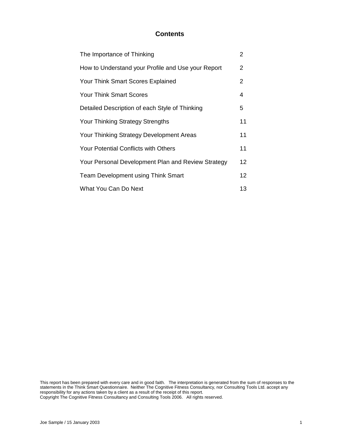## **Contents**

| The Importance of Thinking                         | 2               |
|----------------------------------------------------|-----------------|
| How to Understand your Profile and Use your Report | $\overline{2}$  |
| Your Think Smart Scores Explained                  | $\overline{2}$  |
| <b>Your Think Smart Scores</b>                     | 4               |
| Detailed Description of each Style of Thinking     | 5               |
| <b>Your Thinking Strategy Strengths</b>            | 11              |
| Your Thinking Strategy Development Areas           | 11              |
| <b>Your Potential Conflicts with Others</b>        | 11              |
| Your Personal Development Plan and Review Strategy | 12              |
| <b>Team Development using Think Smart</b>          | 12 <sup>2</sup> |
| What You Can Do Next                               | 13              |

This report has been prepared with every care and in good faith. The interpretation is generated from the sum of responses to the statements in the Think Smart Questionnaire. Neither The Cognitive Fitness Consultancy, nor Consulting Tools Ltd. accept any responsibility for any actions taken by a client as a result of the receipt of this report. Copyright The Cognitive Fitness Consultancy and Consulting Tools 2006. All rights reserved.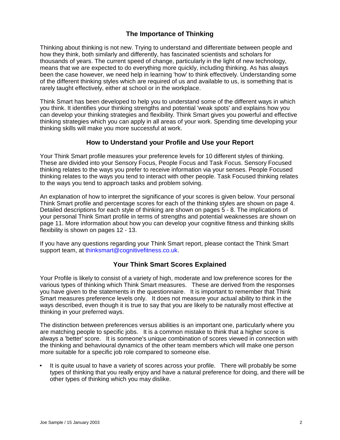# **The Importance of Thinking**

Thinking about thinking is not new. Trying to understand and differentiate between people and how they think, both similarly and differently, has fascinated scientists and scholars for thousands of years. The current speed of change, particularly in the light of new technology, means that we are expected to do everything more quickly, including thinking. As has always been the case however, we need help in learning 'how' to think effectively. Understanding some of the different thinking styles which are required of us and available to us, is something that is rarely taught effectively, either at school or in the workplace.

Think Smart has been developed to help you to understand some of the different ways in which you think. It identifies your thinking strengths and potential 'weak spots' and explains how you can develop your thinking strategies and flexibility. Think Smart gives you powerful and effective thinking strategies which you can apply in all areas of your work. Spending time developing your thinking skills will make you more successful at work.

## **How to Understand your Profile and Use your Report**

Your Think Smart profile measures your preference levels for 10 different styles of thinking. These are divided into your Sensory Focus, People Focus and Task Focus. Sensory Focused thinking relates to the ways you prefer to receive information via your senses. People Focused thinking relates to the ways you tend to interact with other people. Task Focused thinking relates to the ways you tend to approach tasks and problem solving.

An explanation of how to interpret the significance of your scores is given below. Your personal Think Smart profile and percentage scores for each of the thinking styles are shown on page 4. Detailed descriptions for each style of thinking are shown on pages 5 - 8. The implications of your personal Think Smart profile in terms of strengths and potential weaknesses are shown on page 11. More information about how you can develop your cognitive fitness and thinking skills flexibility is shown on pages 12 - 13.

If you have any questions regarding your Think Smart report, please contact the Think Smart support team, at thinksmart@cognitivefitness.co.uk.

# **Your Think Smart Scores Explained**

Your Profile is likely to consist of a variety of high, moderate and low preference scores for the various types of thinking which Think Smart measures. These are derived from the responses you have given to the statements in the questionnaire. It is important to remember that Think Smart measures preference levels only. It does not measure your actual ability to think in the ways described, even though it is true to say that you are likely to be naturally most effective at thinking in your preferred ways.

The distinction between preferences versus abilities is an important one, particularly where you are matching people to specific jobs. It is a common mistake to think that a higher score is always a 'better' score. It is someone's unique combination of scores viewed in connection with the thinking and behavioural dynamics of the other team members which will make one person more suitable for a specific job role compared to someone else.

It is quite usual to have a variety of scores across your profile. There will probably be some types of thinking that you really enjoy and have a natural preference for doing, and there will be other types of thinking which you may dislike.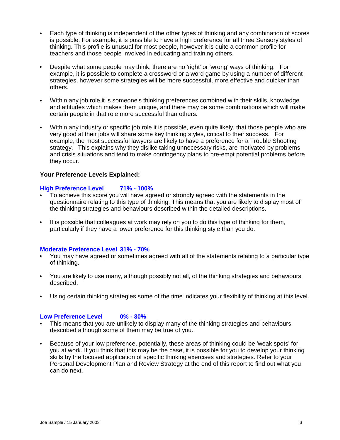- Each type of thinking is independent of the other types of thinking and any combination of scores is possible. For example, it is possible to have a high preference for all three Sensory styles of thinking. This profile is unusual for most people, however it is quite a common profile for teachers and those people involved in educating and training others.
- $\bullet$ Despite what some people may think, there are no 'right' or 'wrong' ways of thinking. For example, it is possible to complete a crossword or a word game by using a number of different strategies, however some strategies will be more successful, more effective and quicker than others.
- Within any job role it is someone's thinking preferences combined with their skills, knowledge and attitudes which makes them unique, and there may be some combinations which will make certain people in that role more successful than others.
- $\bullet$ Within any industry or specific job role it is possible, even quite likely, that those people who are very good at their jobs will share some key thinking styles, critical to their success. For example, the most successful lawyers are likely to have a preference for a Trouble Shooting strategy. This explains why they dislike taking unnecessary risks, are motivated by problems and crisis situations and tend to make contingency plans to pre-empt potential problems before they occur.

## **Your Preference Levels Explained:**

## **High Preference Level 71% - 100%**

- To achieve this score you will have agreed or strongly agreed with the statements in the questionnaire relating to this type of thinking. This means that you are likely to display most of the thinking strategies and behaviours described within the detailed descriptions.
- It is possible that colleagues at work may rely on you to do this type of thinking for them, particularly if they have a lower preference for this thinking style than you do.

## **Moderate Preference Level 31% - 70%**

- You may have agreed or sometimes agreed with all of the statements relating to a particular type of thinking.
- You are likely to use many, although possibly not all, of the thinking strategies and behaviours  $\bullet$ described.
- Using certain thinking strategies some of the time indicates your flexibility of thinking at this level.

## **Low Preference Level 0% - 30%**

- This means that you are unlikely to display many of the thinking strategies and behaviours described although some of them may be true of you.
- Because of your low preference, potentially, these areas of thinking could be 'weak spots' for  $\bullet$ you at work. If you think that this may be the case, it is possible for you to develop your thinking skills by the focused application of specific thinking exercises and strategies. Refer to your Personal Development Plan and Review Strategy at the end of this report to find out what you can do next.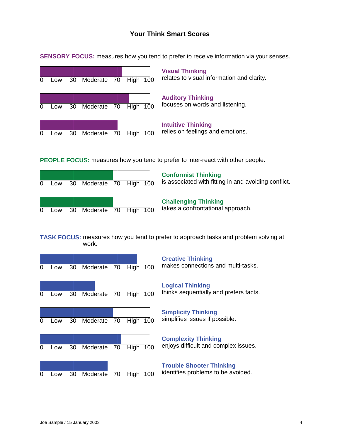# **Your Think Smart Scores**



**SENSORY FOCUS:** measures how you tend to prefer to receive information via your senses.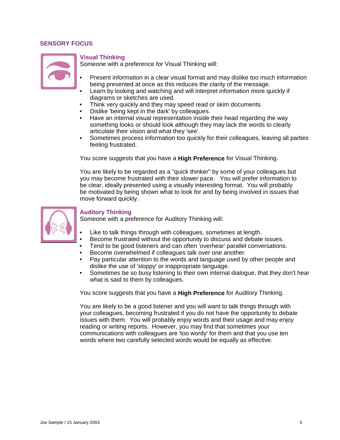## **SENSORY FOCUS**



### **Visual Thinking**

Someone with a preference for Visual Thinking will:

- Present information in a clear visual format and may dislike too much information being presented at once as this reduces the clarity of the message.
- Learn by looking and watching and will interpret information more quickly if diagrams or sketches are used.
- Think very quickly and they may speed read or skim documents.
- Dislike 'being kept in the dark' by colleagues.
- Have an internal visual representation inside their head regarding the way something looks or should look although they may lack the words to clearly articulate their vision and what they 'see'.
- Sometimes process information too quickly for their colleagues, leaving all parties  $\bullet$  . feeling frustrated.

You score suggests that you have a **High Preference** for Visual Thinking.

You are likely to be regarded as a "quick thinker" by some of your colleagues but you may become frustrated with their slower pace. You will prefer information to be clear, ideally presented using a visually interesting format. You will probably be motivated by being shown what to look for and by being involved in issues that move forward quickly.



#### **Auditory Thinking**

Someone with a preference for Auditory Thinking will:

- Like to talk things through with colleagues, sometimes at length.
- Become frustrated without the opportunity to discuss and debate issues.
- Tend to be good listeners and can often 'overhear' parallel conversations.
- Become overwhelmed if colleagues talk over one another.
- Pay particular attention to the words and language used by other people and dislike the use of 'sloppy' or inappropriate language.
- Sometimes be so busy listening to their own internal dialogue, that they don't hear  $\bullet$  . what is said to them by colleagues.

You score suggests that you have a **High Preference** for Auditory Thinking.

You are likely to be a good listener and you will want to talk things through with your colleagues, becoming frustrated if you do not have the opportunity to debate issues with them. You will probably enjoy words and their usage and may enjoy reading or writing reports. However, you may find that sometimes your communications with colleagues are 'too wordy' for them and that you use ten words where two carefully selected words would be equally as effective.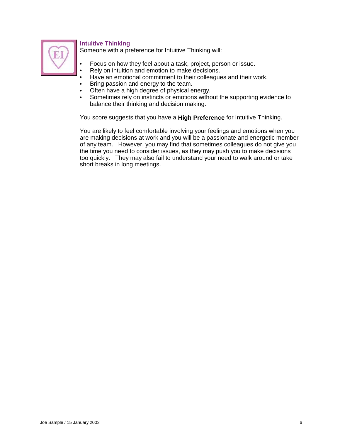

# **Intuitive Thinking**

Someone with a preference for Intuitive Thinking will:

- Focus on how they feel about a task, project, person or issue.
- Rely on intuition and emotion to make decisions.
- Have an emotional commitment to their colleagues and their work.
- Bring passion and energy to the team.  $\bullet$
- Often have a high degree of physical energy.  $\bullet$
- $\bullet$ Sometimes rely on instincts or emotions without the supporting evidence to balance their thinking and decision making.

You score suggests that you have a **High Preference** for Intuitive Thinking.

You are likely to feel comfortable involving your feelings and emotions when you are making decisions at work and you will be a passionate and energetic member of any team. However, you may find that sometimes colleagues do not give you the time you need to consider issues, as they may push you to make decisions too quickly. They may also fail to understand your need to walk around or take short breaks in long meetings.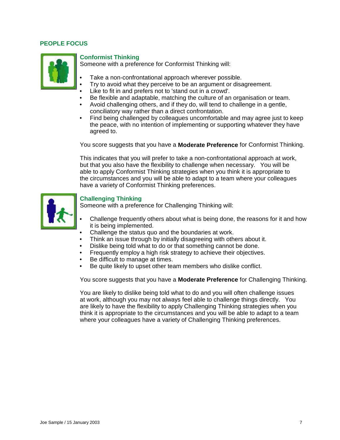## **PEOPLE FOCUS**



## **Conformist Thinking**

Someone with a preference for Conformist Thinking will:

- Take a non-confrontational approach wherever possible.
- Try to avoid what they perceive to be an argument or disagreement.
- Like to fit in and prefers not to 'stand out in a crowd'.
- Be flexible and adaptable, matching the culture of an organisation or team.
- Avoid challenging others, and if they do, will tend to challenge in a gentle, conciliatory way rather than a direct confrontation.
- Find being challenged by colleagues uncomfortable and may agree just to keep the peace, with no intention of implementing or supporting whatever they have agreed to.

You score suggests that you have a **Moderate Preference** for Conformist Thinking.

This indicates that you will prefer to take a non-confrontational approach at work, but that you also have the flexibility to challenge when necessary. You will be able to apply Conformist Thinking strategies when you think it is appropriate to the circumstances and you will be able to adapt to a team where your colleagues have a variety of Conformist Thinking preferences.



## **Challenging Thinking**

Someone with a preference for Challenging Thinking will:

- Challenge frequently others about what is being done, the reasons for it and how it is being implemented.
- Challenge the status quo and the boundaries at work.
- Think an issue through by initially disagreeing with others about it.
- Dislike being told what to do or that something cannot be done.
- Frequently employ a high risk strategy to achieve their objectives.
- Be difficult to manage at times.
- Be quite likely to upset other team members who dislike conflict.

You score suggests that you have a **Moderate Preference** for Challenging Thinking.

You are likely to dislike being told what to do and you will often challenge issues at work, although you may not always feel able to challenge things directly. You are likely to have the flexibility to apply Challenging Thinking strategies when you think it is appropriate to the circumstances and you will be able to adapt to a team where your colleagues have a variety of Challenging Thinking preferences.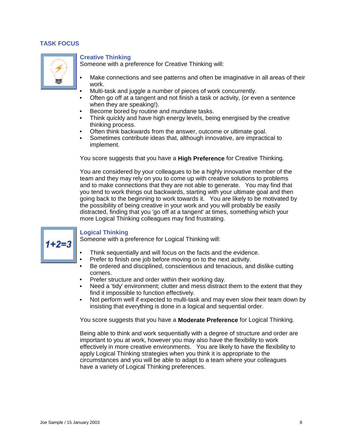## **TASK FOCUS**



## **Creative Thinking**

Someone with a preference for Creative Thinking will:

- Make connections and see patterns and often be imaginative in all areas of their work.
- Multi-task and juggle a number of pieces of work concurrently.
- $\bullet$ Often go off at a tangent and not finish a task or activity, (or even a sentence when they are speaking!).
- Become bored by routine and mundane tasks.
- Think quickly and have high energy levels, being energised by the creative  $\bullet$ thinking process.
- Often think backwards from the answer, outcome or ultimate goal.  $\bullet$
- Sometimes contribute ideas that, although innovative, are impractical to implement.

You score suggests that you have a **High Preference** for Creative Thinking.

You are considered by your colleagues to be a highly innovative member of the team and they may rely on you to come up with creative solutions to problems and to make connections that they are not able to generate. You may find that you tend to work things out backwards, starting with your ultimate goal and then going back to the beginning to work towards it. You are likely to be motivated by the possibility of being creative in your work and you will probably be easily distracted, finding that you 'go off at a tangent' at times, something which your more Logical Thinking colleagues may find frustrating.



## **Logical Thinking**

Someone with a preference for Logical Thinking will:

- Think sequentially and will focus on the facts and the evidence.
- Prefer to finish one job before moving on to the next activity.
- Be ordered and disciplined, conscientious and tenacious, and dislike cutting corners.
- Prefer structure and order within their working day.
- Need a 'tidy' environment; clutter and mess distract them to the extent that they find it impossible to function effectively.
- Not perform well if expected to multi-task and may even slow their team down by  $\bullet$ insisting that everything is done in a logical and sequential order.

You score suggests that you have a **Moderate Preference** for Logical Thinking.

Being able to think and work sequentially with a degree of structure and order are important to you at work, however you may also have the flexibility to work effectively in more creative environments. You are likely to have the flexibility to apply Logical Thinking strategies when you think it is appropriate to the circumstances and you will be able to adapt to a team where your colleagues have a variety of Logical Thinking preferences.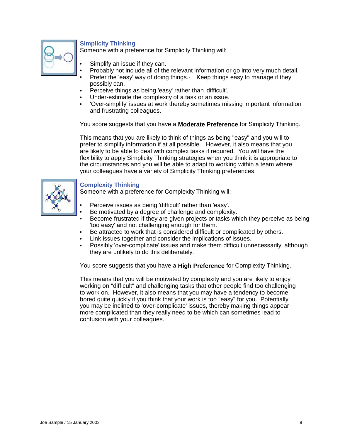

# **Simplicity Thinking**

Someone with a preference for Simplicity Thinking will:

- Simplify an issue if they can.
- Probably not include all of the relevant information or go into very much detail.
- Prefer the 'easy' way of doing things. Keep things easy to manage if they possibly can.
- Perceive things as being 'easy' rather than 'difficult'.  $\bullet$
- Under-estimate the complexity of a task or an issue.
- 'Over-simplify' issues at work thereby sometimes missing important information and frustrating colleagues.

You score suggests that you have a **Moderate Preference** for Simplicity Thinking.

This means that you are likely to think of things as being "easy" and you will to prefer to simplify information if at all possible. However, it also means that you are likely to be able to deal with complex tasks if required. You will have the flexibility to apply Simplicity Thinking strategies when you think it is appropriate to the circumstances and you will be able to adapt to working within a team where your colleagues have a variety of Simplicity Thinking preferences.



## **Complexity Thinking**

Someone with a preference for Complexity Thinking will:

- Perceive issues as being 'difficult' rather than 'easy'.
- Be motivated by a degree of challenge and complexity.
- Become frustrated if they are given projects or tasks which they perceive as being 'too easy' and not challenging enough for them.
- Be attracted to work that is considered difficult or complicated by others.
- Link issues together and consider the implications of issues.
- Possibly 'over-complicate' issues and make them difficult unnecessarily, although they are unlikely to do this deliberately.

You score suggests that you have a **High Preference** for Complexity Thinking.

This means that you will be motivated by complexity and you are likely to enjoy working on "difficult" and challenging tasks that other people find too challenging to work on. However, it also means that you may have a tendency to become bored quite quickly if you think that your work is too "easy" for you. Potentially you may be inclined to 'over-complicate' issues, thereby making things appear more complicated than they really need to be which can sometimes lead to confusion with your colleagues.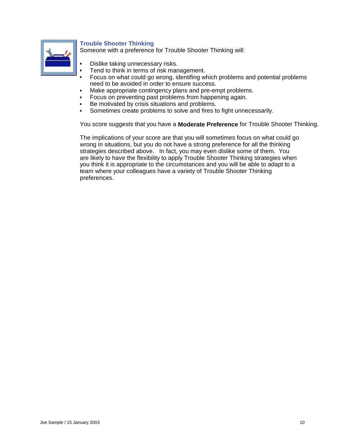

# **Trouble Shooter Thinking**

Someone with a preference for Trouble Shooter Thinking will:

- Dislike taking unnecessary risks.
- Tend to think in terms of risk management.
- Focus on what could go wrong, identifing which problems and potential problems need to be avoided in order to ensure success.
- Make appropriate contingency plans and pre-empt problems.  $\bullet$
- Focus on preventing past problems from happening again.
- Be motivated by crisis situations and problems.
- Sometimes create problems to solve and fires to fight unnecessarily.  $\bullet$

You score suggests that you have a **Moderate Preference** for Trouble Shooter Thinking.

The implications of your score are that you will sometimes focus on what could go wrong in situations, but you do not have a strong preference for all the thinking strategies described above. In fact, you may even dislike some of them. You are likely to have the flexibility to apply Trouble Shooter Thinking strategies when you think it is appropriate to the circumstances and you will be able to adapt to a team where your colleagues have a variety of Trouble Shooter Thinking preferences.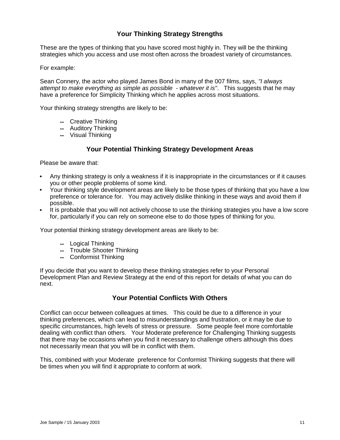# **Your Thinking Strategy Strengths**

These are the types of thinking that you have scored most highly in. They will be the thinking strategies which you access and use most often across the broadest variety of circumstances.

#### For example:

Sean Connery, the actor who played James Bond in many of the 007 films, says, "I always attempt to make everything as simple as possible - whatever it is". This suggests that he may have a preference for Simplicity Thinking which he applies across most situations.

Your thinking strategy strengths are likely to be:

- **--** Creative Thinking
- **--** Auditory Thinking
- **--** Visual Thinking

## **Your Potential Thinking Strategy Development Areas**

Please be aware that:

- Any thinking strategy is only a weakness if it is inappropriate in the circumstances or if it causes you or other people problems of some kind.
- Your thinking style development areas are likely to be those types of thinking that you have a low preference or tolerance for. You may actively dislike thinking in these ways and avoid them if possible.
- It is probable that you will not actively choose to use the thinking strategies you have a low score for, particularly if you can rely on someone else to do those types of thinking for you.

Your potential thinking strategy development areas are likely to be:

- **--** Logical Thinking
- **--** Trouble Shooter Thinking
- **--** Conformist Thinking

If you decide that you want to develop these thinking strategies refer to your Personal Development Plan and Review Strategy at the end of this report for details of what you can do next.

## **Your Potential Conflicts With Others**

Conflict can occur between colleagues at times. This could be due to a difference in your thinking preferences, which can lead to misunderstandings and frustration, or it may be due to specific circumstances, high levels of stress or pressure. Some people feel more comfortable dealing with conflict than others. Your Moderate preference for Challenging Thinking suggests that there may be occasions when you find it necessary to challenge others although this does not necessarily mean that you will be in conflict with them.

This, combined with your Moderate preference for Conformist Thinking suggests that there will be times when you will find it appropriate to conform at work.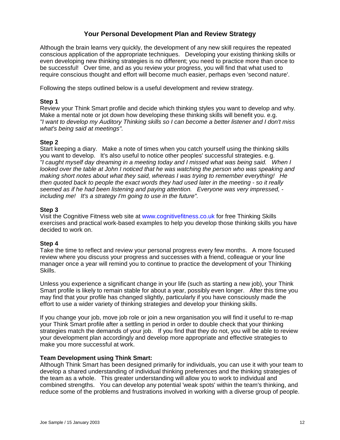# **Your Personal Development Plan and Review Strategy**

Although the brain learns very quickly, the development of any new skill requires the repeated conscious application of the appropriate techniques. Developing your existing thinking skills or even developing new thinking strategies is no different; you need to practice more than once to be successful! Over time, and as you review your progress, you will find that what used to require conscious thought and effort will become much easier, perhaps even 'second nature'.

Following the steps outlined below is a useful development and review strategy.

## **Step 1**

Review your Think Smart profile and decide which thinking styles you want to develop and why. Make a mental note or jot down how developing these thinking skills will benefit you. e.g. "I want to develop my Auditory Thinking skills so I can become a better listener and I don't miss what's being said at meetings".

## **Step 2**

Start keeping a diary. Make a note of times when you catch yourself using the thinking skills you want to develop. It's also useful to notice other peoples' successful strategies. e.g. "I caught myself day dreaming in a meeting today and I missed what was being said. When I looked over the table at John I noticed that he was watching the person who was speaking and making short notes about what they said, whereas I was trying to remember everything! He then quoted back to people the exact words they had used later in the meeting - so it really seemed as if he had been listening and paying attention. Everyone was very impressed, including me! It's a strategy I'm going to use in the future".

## **Step 3**

Visit the Cognitive Fitness web site at www.cognitivefitness.co.uk for free Thinking Skills exercises and practical work-based examples to help you develop those thinking skills you have decided to work on.

## **Step 4**

Take the time to reflect and review your personal progress every few months. A more focused review where you discuss your progress and successes with a friend, colleague or your line manager once a year will remind you to continue to practice the development of your Thinking Skills.

Unless you experience a significant change in your life (such as starting a new job), your Think Smart profile is likely to remain stable for about a year, possibly even longer. After this time you may find that your profile has changed slightly, particularly if you have consciously made the effort to use a wider variety of thinking strategies and develop your thinking skills.

If you change your job, move job role or join a new organisation you will find it useful to re-map your Think Smart profile after a settling in period in order to double check that your thinking strategies match the demands of your job. If you find that they do not, you will be able to review your development plan accordingly and develop more appropriate and effective strategies to make you more successful at work.

## **Team Development using Think Smart:**

Although Think Smart has been designed primarily for individuals, you can use it with your team to develop a shared understanding of individual thinking preferences and the thinking strategies of the team as a whole. This greater understanding will allow you to work to individual and combined strengths. You can develop any potential 'weak spots' within the team's thinking, and reduce some of the problems and frustrations involved in working with a diverse group of people.